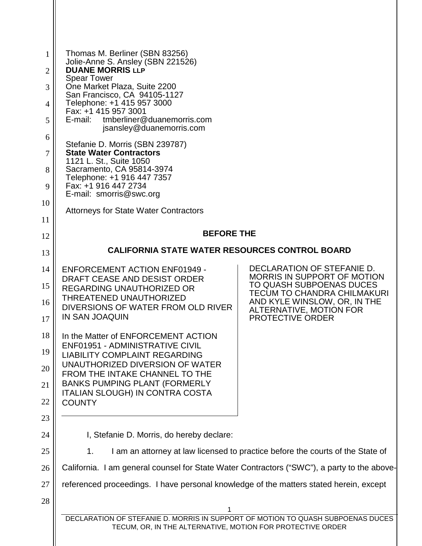| 1<br>$\overline{2}$ | Thomas M. Berliner (SBN 83256)<br>Jolie-Anne S. Ansley (SBN 221526)<br><b>DUANE MORRIS LLP</b>                                                |                                                                    |
|---------------------|-----------------------------------------------------------------------------------------------------------------------------------------------|--------------------------------------------------------------------|
| 3                   | <b>Spear Tower</b><br>One Market Plaza, Suite 2200                                                                                            |                                                                    |
| $\overline{4}$      | San Francisco, CA 94105-1127<br>Telephone: +1 415 957 3000                                                                                    |                                                                    |
| 5                   | Fax: +1 415 957 3001<br>tmberliner@duanemorris.com<br>E-mail:                                                                                 |                                                                    |
| 6                   | jsansley@duanemorris.com                                                                                                                      |                                                                    |
| 7                   | Stefanie D. Morris (SBN 239787)<br><b>State Water Contractors</b>                                                                             |                                                                    |
| 8                   | 1121 L. St., Suite 1050<br>Sacramento, CA 95814-3974                                                                                          |                                                                    |
| 9                   | Telephone: +1 916 447 7357<br>Fax: +1 916 447 2734                                                                                            |                                                                    |
| 10                  | E-mail: smorris@swc.org                                                                                                                       |                                                                    |
| 11                  | <b>Attorneys for State Water Contractors</b>                                                                                                  |                                                                    |
| 12                  | <b>BEFORE THE</b>                                                                                                                             |                                                                    |
| 13                  | <b>CALIFORNIA STATE WATER RESOURCES CONTROL BOARD</b>                                                                                         |                                                                    |
| 14                  | <b>ENFORCEMENT ACTION ENF01949 -</b>                                                                                                          | DECLARATION OF STEFANIE D.                                         |
| 15                  | DRAFT CEASE AND DESIST ORDER<br><b>REGARDING UNAUTHORIZED OR</b>                                                                              | <b>MORRIS IN SUPPORT OF MOTION</b><br>TO QUASH SUBPOENAS DUCES     |
| 16                  | THREATENED UNAUTHORIZED                                                                                                                       | <b>TECUM TO CHANDRA CHILMAKURI</b><br>AND KYLE WINSLOW, OR, IN THE |
| 17                  | DIVERSIONS OF WATER FROM OLD RIVER<br><b>IN SAN JOAQUIN</b>                                                                                   | ALTERNATIVE, MOTION FOR<br><b>PROTECTIVE ORDER</b>                 |
| 18                  | In the Matter of ENFORCEMENT ACTION                                                                                                           |                                                                    |
| 19                  | <b>ENF01951 - ADMINISTRATIVE CIVIL</b><br><b>LIABILITY COMPLAINT REGARDING</b>                                                                |                                                                    |
| 20                  | UNAUTHORIZED DIVERSION OF WATER                                                                                                               |                                                                    |
| 21                  | FROM THE INTAKE CHANNEL TO THE<br><b>BANKS PUMPING PLANT (FORMERLY</b>                                                                        |                                                                    |
| 22                  | ITALIAN SLOUGH) IN CONTRA COSTA<br><b>COUNTY</b>                                                                                              |                                                                    |
| 23                  |                                                                                                                                               |                                                                    |
| 24                  | I, Stefanie D. Morris, do hereby declare:                                                                                                     |                                                                    |
| 25                  | I am an attorney at law licensed to practice before the courts of the State of<br>1.                                                          |                                                                    |
| 26                  | California. I am general counsel for State Water Contractors ("SWC"), a party to the above-                                                   |                                                                    |
| 27                  | referenced proceedings. I have personal knowledge of the matters stated herein, except                                                        |                                                                    |
| 28                  |                                                                                                                                               |                                                                    |
|                     | DECLARATION OF STEFANIE D. MORRIS IN SUPPORT OF MOTION TO QUASH SUBPOENAS DUCES<br>TECUM, OR, IN THE ALTERNATIVE, MOTION FOR PROTECTIVE ORDER |                                                                    |